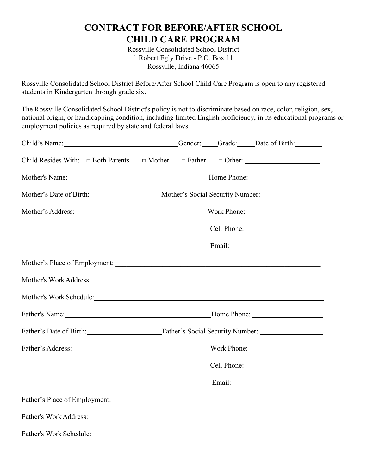# **CONTRACT FOR BEFORE/AFTER SCHOOL CHILD CARE PROGRAM**

Rossville Consolidated School District 1 Robert Egly Drive - P.O. Box 11 Rossville, Indiana 46065

Rossville Consolidated School District Before/After School Child Care Program is open to any registered students in Kindergarten through grade six.

The Rossville Consolidated School District's policy is not to discriminate based on race, color, religion, sex, national origin, or handicapping condition, including limited English proficiency, in its educational programs or employment policies as required by state and federal laws.

| Child's Name:                                                                                                                                                                                                                  |                                                                                                      |  |  | Gender: Grade: Date of Birth: |  |
|--------------------------------------------------------------------------------------------------------------------------------------------------------------------------------------------------------------------------------|------------------------------------------------------------------------------------------------------|--|--|-------------------------------|--|
| Child Resides With: $\Box$ Both Parents $\Box$ Mother $\Box$ Father $\Box$ Other:                                                                                                                                              |                                                                                                      |  |  |                               |  |
|                                                                                                                                                                                                                                |                                                                                                      |  |  |                               |  |
|                                                                                                                                                                                                                                | Mother's Date of Birth: ________________________Mother's Social Security Number: ___________________ |  |  |                               |  |
|                                                                                                                                                                                                                                |                                                                                                      |  |  |                               |  |
|                                                                                                                                                                                                                                |                                                                                                      |  |  |                               |  |
|                                                                                                                                                                                                                                |                                                                                                      |  |  |                               |  |
|                                                                                                                                                                                                                                |                                                                                                      |  |  |                               |  |
| Mother's Work Address:                                                                                                                                                                                                         |                                                                                                      |  |  |                               |  |
| Mother's Work Schedule: Mother's Work Schedule:                                                                                                                                                                                |                                                                                                      |  |  |                               |  |
|                                                                                                                                                                                                                                |                                                                                                      |  |  |                               |  |
| Father's Date of Birth: Father's Social Security Number: ________________________                                                                                                                                              |                                                                                                      |  |  |                               |  |
| Father's Address: North Phone: North Phone: North Phone: North Phone: North Phone: North Phone: North Phone: North Phone: North Phone: North Phone: North Phone: North Phone: North Phone: North Phone: North Phone: North Pho |                                                                                                      |  |  |                               |  |
|                                                                                                                                                                                                                                |                                                                                                      |  |  | <u>Cell Phone:</u>            |  |
|                                                                                                                                                                                                                                |                                                                                                      |  |  |                               |  |
|                                                                                                                                                                                                                                |                                                                                                      |  |  |                               |  |
|                                                                                                                                                                                                                                |                                                                                                      |  |  |                               |  |
| Father's Work Schedule:                                                                                                                                                                                                        |                                                                                                      |  |  |                               |  |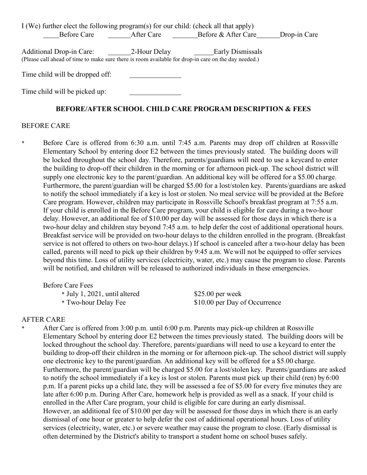I (We) further elect the following program(s) for our child: (check all that apply) Before Care After Care Before & After Care Drop-in Care

Additional Drop-in Care: 2-Hour Delay Early Dismissals (Please call ahead of time to make sure there is room available for drop-in care on the day needed.)

Time child will be dropped off:

Time child will be picked up:

### **BEFORE/AFTER SCHOOL CHILD CARE PROGRAM DESCRIPTION & FEES**

### BEFORE CARE

\* Before Care is offered from 6:30 a.m. until 7:45 a.m. Parents may drop off children at Rossville Elementary School by entering door E2 between the times previously stated. The building doors will be locked throughout the school day. Therefore, parents/guardians will need to use a keycard to enter the building to drop-off their children in the morning or for afternoon pick-up. The school district will supply one electronic key to the parent/guardian. An additional key will be offered for a \$5.00 charge. Furthermore, the parent/guardian will be charged \$5.00 for a lost/stolen key. Parents/guardians are asked to notify the school immediately if a key is lost or stolen. No meal service will be provided at the Before Care program. However, children may participate in Rossville School's breakfast program at 7:55 a.m. If your child is enrolled in the Before Care program, your child is eligible for care during a two-hour delay. However, an additional fee of \$10.00 per day will be assessed for those days in which there is a two-hour delay and children stay beyond 7:45 a.m. to help defer the cost of additional operational hours. Breakfast service will be provided on two-hour delays to the children enrolled in the program. (Breakfast service is not offered to others on two-hour delays.) If school is canceled after a two-hour delay has been called, parents will need to pick up their children by 9:45 a.m. We will not be equipped to offer services beyond this time. Loss of utility services (electricity, water, etc.) may cause the program to close. Parents will be notified, and children will be released to authorized individuals in these emergencies.

Before Care Fees \* July 1, 2021, until altered \$25.00 per week \* Two-hour Delay Fee \$10.00 per Day of Occurrence

### AFTER CARE

After Care is offered from 3:00 p.m. until 6:00 p.m. Parents may pick-up children at Rossville Elementary School by entering door E2 between the times previously stated. The building doors will be locked throughout the school day. Therefore, parents/guardians will need to use a keycard to enter the building to drop-off their children in the morning or for afternoon pick-up. The school district will supply one electronic key to the parent/guardian. An additional key will be offered for a \$5.00 charge. Furthermore, the parent/guardian will be charged \$5.00 for a lost/stolen key. Parents/guardians are asked to notify the school immediately if a key is lost or stolen. Parents must pick up their child (ren) by 6:00 p.m. If a parent picks up a child late, they will be assessed a fee of \$5.00 for every five minutes they are late after 6:00 p.m. During After Care, homework help is provided as well as a snack. If your child is enrolled in the After Care program, your child is eligible for care during an early dismissal. However, an additional fee of \$10.00 per day will be assessed for those days in which there is an early dismissal of one hour or greater to help defer the cost of additional operational hours. Loss of utility services (electricity, water, etc.) or severe weather may cause the program to close. (Early dismissal is often determined by the District's ability to transport a student home on school buses safely.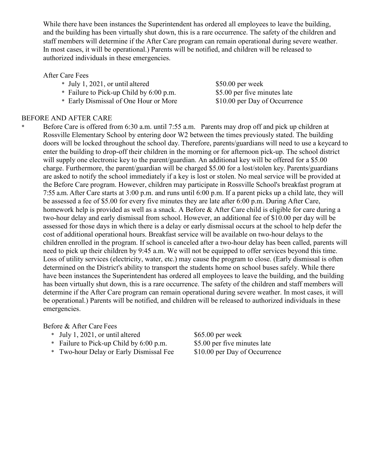While there have been instances the Superintendent has ordered all employees to leave the building, and the building has been virtually shut down, this is a rare occurrence. The safety of the children and staff members will determine if the After Care program can remain operational during severe weather. In most cases, it will be operational.) Parents will be notified, and children will be released to authorized individuals in these emergencies.

### After Care Fees

- \* July 1, 2021, or until altered \$50.00 per week
- \* Failure to Pick-up Child by 6:00 p.m. \$5.00 per five minutes late
- \* Early Dismissal of One Hour or More \$10.00 per Day of Occurrence

### BEFORE AND AFTER CARE

Before Care is offered from 6:30 a.m. until 7:55 a.m. Parents may drop off and pick up children at Rossville Elementary School by entering door W2 between the times previously stated. The building doors will be locked throughout the school day. Therefore, parents/guardians will need to use a keycard to enter the building to drop-off their children in the morning or for afternoon pick-up. The school district will supply one electronic key to the parent/guardian. An additional key will be offered for a \$5.00 charge. Furthermore, the parent/guardian will be charged \$5.00 for a lost/stolen key. Parents/guardians are asked to notify the school immediately if a key is lost or stolen. No meal service will be provided at the Before Care program. However, children may participate in Rossville School's breakfast program at 7:55 a.m. After Care starts at 3:00 p.m. and runs until 6:00 p.m. If a parent picks up a child late, they will be assessed a fee of \$5.00 for every five minutes they are late after 6:00 p.m. During After Care, homework help is provided as well as a snack. A Before & After Care child is eligible for care during a two-hour delay and early dismissal from school. However, an additional fee of \$10.00 per day will be assessed for those days in which there is a delay or early dismissal occurs at the school to help defer the cost of additional operational hours. Breakfast service will be available on two-hour delays to the children enrolled in the program. If school is canceled after a two-hour delay has been called, parents will need to pick up their children by 9:45 a.m. We will not be equipped to offer services beyond this time. Loss of utility services (electricity, water, etc.) may cause the program to close. (Early dismissal is often determined on the District's ability to transport the students home on school buses safely. While there have been instances the Superintendent has ordered all employees to leave the building, and the building has been virtually shut down, this is a rare occurrence. The safety of the children and staff members will determine if the After Care program can remain operational during severe weather. In most cases, it will be operational.) Parents will be notified, and children will be released to authorized individuals in these emergencies.

#### Before & After Care Fees

- 
- \* Failure to Pick-up Child by  $6:00$  p.m.
- \* Two-hour Delay or Early Dismissal Fee \$10.00 per Day of Occurrence

\* July 1, 2021, or until altered \$65.00 per week<br>\* Failure to Pick-up Child by 6:00 p.m. \$5.00 per five minutes late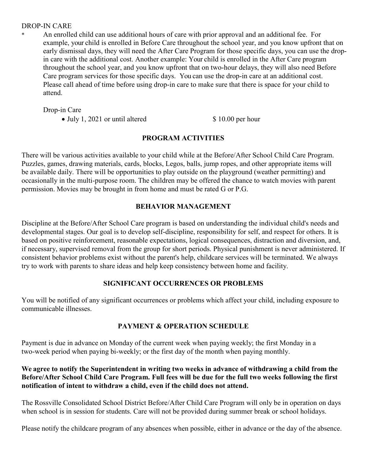### DROP-IN CARE

An enrolled child can use additional hours of care with prior approval and an additional fee. For example, your child is enrolled in Before Care throughout the school year, and you know upfront that on early dismissal days, they will need the After Care Program for those specific days, you can use the dropin care with the additional cost. Another example: Your child is enrolled in the After Care program throughout the school year, and you know upfront that on two-hour delays, they will also need Before Care program services for those specific days. You can use the drop-in care at an additional cost. Please call ahead of time before using drop-in care to make sure that there is space for your child to attend.

Drop-in Care

• July 1, 2021 or until altered \$ 10.00 per hour

# **PROGRAM ACTIVITIES**

There will be various activities available to your child while at the Before/After School Child Care Program. Puzzles, games, drawing materials, cards, blocks, Legos, balls, jump ropes, and other appropriate items will be available daily. There will be opportunities to play outside on the playground (weather permitting) and occasionally in the multi-purpose room. The children may be offered the chance to watch movies with parent permission. Movies may be brought in from home and must be rated G or P.G.

# **BEHAVIOR MANAGEMENT**

Discipline at the Before/After School Care program is based on understanding the individual child's needs and developmental stages. Our goal is to develop self-discipline, responsibility for self, and respect for others. It is based on positive reinforcement, reasonable expectations, logical consequences, distraction and diversion, and, if necessary, supervised removal from the group for short periods. Physical punishment is never administered. If consistent behavior problems exist without the parent's help, childcare services will be terminated. We always try to work with parents to share ideas and help keep consistency between home and facility.

# **SIGNIFICANT OCCURRENCES OR PROBLEMS**

You will be notified of any significant occurrences or problems which affect your child, including exposure to communicable illnesses.

# **PAYMENT & OPERATION SCHEDULE**

Payment is due in advance on Monday of the current week when paying weekly; the first Monday in a two-week period when paying bi-weekly; or the first day of the month when paying monthly.

# **We agree to notify the Superintendent in writing two weeks in advance of withdrawing a child from the Before/After School Child Care Program. Full fees will be due for the full two weeks following the first notification of intent to withdraw a child, even if the child does not attend.**

The Rossville Consolidated School District Before/After Child Care Program will only be in operation on days when school is in session for students. Care will not be provided during summer break or school holidays.

Please notify the childcare program of any absences when possible, either in advance or the day of the absence.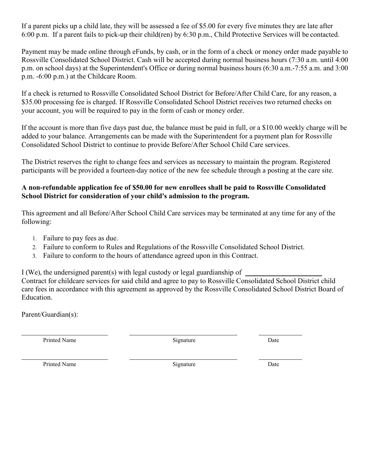If a parent picks up a child late, they will be assessed a fee of \$5.00 for every five minutes they are late after 6:00 p.m. If a parent fails to pick-up their child(ren) by 6:30 p.m., Child Protective Services will be contacted.

Payment may be made online through eFunds, by cash, or in the form of a check or money order made payable to Rossville Consolidated School District. Cash will be accepted during normal business hours (7:30 a.m. until 4:00 p.m. on school days) at the Superintendent's Office or during normal business hours (6:30 a.m.-7:55 a.m. and 3:00 p.m. -6:00 p.m.) at the Childcare Room.

If a check is returned to Rossville Consolidated School District for Before/After Child Care, for any reason, a \$35.00 processing fee is charged. If Rossville Consolidated School District receives two returned checks on your account, you will be required to pay in the form of cash or money order.

If the account is more than five days past due, the balance must be paid in full, or a \$10.00 weekly charge will be added to your balance. Arrangements can be made with the Superintendent for a payment plan for Rossville Consolidated School District to continue to provide Before/After School Child Care services.

The District reserves the right to change fees and services as necessary to maintain the program. Registered participants will be provided a fourteen-day notice of the new fee schedule through a posting at the care site.

# **A non-refundable application fee of \$50.00 for new enrollees shall be paid to Rossville Consolidated School District for consideration of your child's admission to the program.**

This agreement and all Before/After School Child Care services may be terminated at any time for any of the following:

- 1. Failure to pay fees as due.
- 2. Failure to conform to Rules and Regulations of the Rossville Consolidated School District.
- 3. Failure to conform to the hours of attendance agreed upon in this Contract.

I (We), the undersigned parent(s) with legal custody or legal guardianship of  $\overline{\phantom{a}}$ 

Contract for childcare services for said child and agree to pay to Rossville Consolidated School District child care fees in accordance with this agreement as approved by the Rossville Consolidated School District Board of Education.

Parent/Guardian(s):

Printed Name **Signature** Date **Date** Date **Date** 

Printed Name **Signature** Date **Date** Date **Date**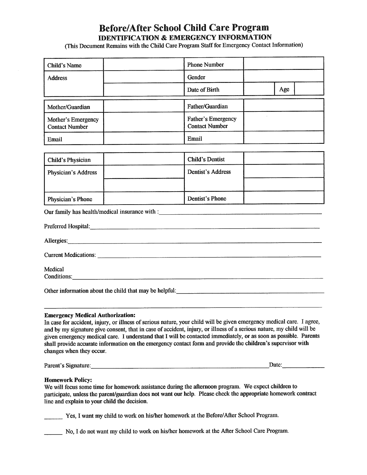# **Before/After School Child Care Program IDENTIFICATION & EMERGENCY INFORMATION**

(This Document Remains with the Child Care Program Staff for Emergency Contact Information)

| Child's Name                                | <b>Phone Number</b>                                |     |
|---------------------------------------------|----------------------------------------------------|-----|
| <b>Address</b>                              | Gender                                             |     |
|                                             | Date of Birth                                      | Age |
| Mother/Guardian                             | <b>Father/Guardian</b>                             |     |
| Mother's Emergency<br><b>Contact Number</b> | <b>Father's Emergency</b><br><b>Contact Number</b> |     |
| Email                                       | Email                                              |     |

| <b>Child's Physician</b>   | Child's Dentist   |  |
|----------------------------|-------------------|--|
| <b>Physician's Address</b> | Dentist's Address |  |
|                            |                   |  |
| Physician's Phone          | Dentist's Phone   |  |

Our family has health/medical insurance with :

| Preferred Hospital: New York Changes and September 2014. The September 2014 of the September 2014 of the September 2014 of the September 2014 of the September 2014 of the September 2014 of the September 2014 of the Septemb |  |
|--------------------------------------------------------------------------------------------------------------------------------------------------------------------------------------------------------------------------------|--|
| Allergies:                                                                                                                                                                                                                     |  |
|                                                                                                                                                                                                                                |  |
| Medical                                                                                                                                                                                                                        |  |
| Conditions:                                                                                                                                                                                                                    |  |
| Other information about the child that may be helpful:                                                                                                                                                                         |  |

#### **Emergency Medical Authorization:**

In case for accident, injury, or illness of serious nature, your child will be given emergency medical care. I agree, and by my signature give consent, that in case of accident, injury, or illness of a serious nature, my child will be given emergency medical care. I understand that I will be contacted immediately, or as soon as possible. Parents shall provide accurate information on the emergency contact form and provide the children's supervisor with changes when they occur.

Parent's Signature:

#### **Homework Policy:**

We will focus some time for homework assistance during the afternoon program. We expect children to participate, unless the parent/guardian does not want our help. Please check the appropriate homework contract line and explain to your child the decision.

Yes, I want my child to work on his/her homework at the Before/After School Program.

No, I do not want my child to work on his/her homework at the After School Care Program.